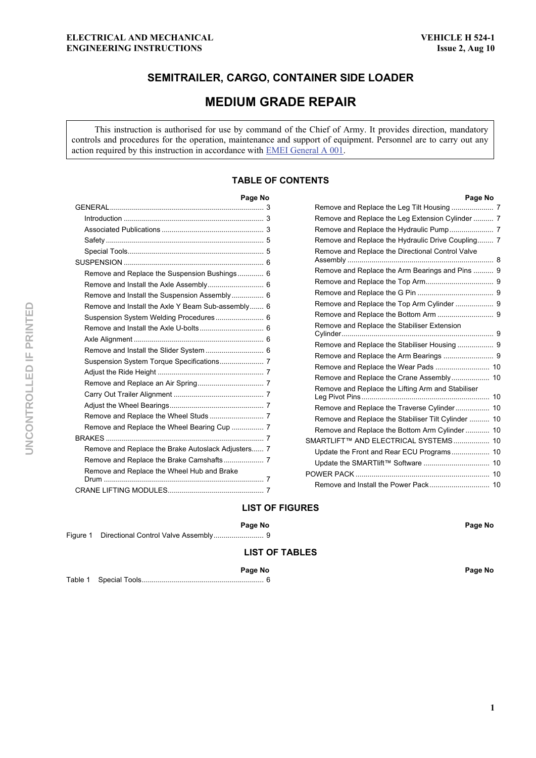# **SEMITRAILER, CARGO, CONTAINER SIDE LOADER**

# **MEDIUM GRADE REPAIR**

This instruction is authorised for use by command of the Chief of Army. It provides direction, mandatory controls and procedures for the operation, maintenance and support of equipment. Personnel are to carry out any action required by this instruction in accordance with **EMEI General A 001**.

# **TABLE OF CONTENTS**

|                                                    | Page No |
|----------------------------------------------------|---------|
|                                                    |         |
|                                                    |         |
|                                                    |         |
|                                                    |         |
|                                                    |         |
|                                                    |         |
| Remove and Replace the Suspension Bushings 6       |         |
|                                                    |         |
| Remove and Install the Suspension Assembly 6       |         |
| Remove and Install the Axle Y Beam Sub-assembly 6  |         |
|                                                    |         |
|                                                    |         |
|                                                    |         |
| Remove and Install the Slider System  6            |         |
|                                                    |         |
|                                                    |         |
|                                                    |         |
|                                                    |         |
|                                                    |         |
|                                                    |         |
| Remove and Replace the Wheel Bearing Cup  7        |         |
|                                                    |         |
| Remove and Replace the Brake Autoslack Adjusters 7 |         |
| Remove and Replace the Brake Camshafts 7           |         |
| Remove and Replace the Wheel Hub and Brake         |         |
|                                                    |         |
|                                                    |         |
|                                                    |         |

| Page No    | Page No                                             |  |
|------------|-----------------------------------------------------|--|
| . 3        |                                                     |  |
| . 3        | Remove and Replace the Leg Extension Cylinder  7    |  |
| 3          |                                                     |  |
| . 5        | Remove and Replace the Hydraulic Drive Coupling     |  |
| . 5        | Remove and Replace the Directional Control Valve    |  |
| . 6        |                                                     |  |
| . 6        | Remove and Replace the Arm Bearings and Pins  9     |  |
| 6          |                                                     |  |
| . 6        |                                                     |  |
| bly 6      |                                                     |  |
| 6          |                                                     |  |
| 6          | Remove and Replace the Stabiliser Extension         |  |
| 6          | Remove and Replace the Stabiliser Housing  9        |  |
| . 6        |                                                     |  |
| . 7        |                                                     |  |
| . 7        |                                                     |  |
| . 7<br>. 7 | Remove and Replace the Lifting Arm and Stabiliser   |  |
| . 7        | Remove and Replace the Traverse Cylinder 10         |  |
| . 7        | Remove and Replace the Stabiliser Tilt Cylinder  10 |  |
| . 7        | Remove and Replace the Bottom Arm Cylinder 10       |  |
| 7          | SMARTLIFT™ AND ELECTRICAL SYSTEMS 10                |  |
| ters 7     |                                                     |  |
| . 7        |                                                     |  |
|            |                                                     |  |
| . 7        |                                                     |  |

# **LIST OF FIGURES**

| Figure 1 | Page No               | Page No |
|----------|-----------------------|---------|
|          | <b>LIST OF TABLES</b> |         |
|          | Page No               | Page No |
|          |                       |         |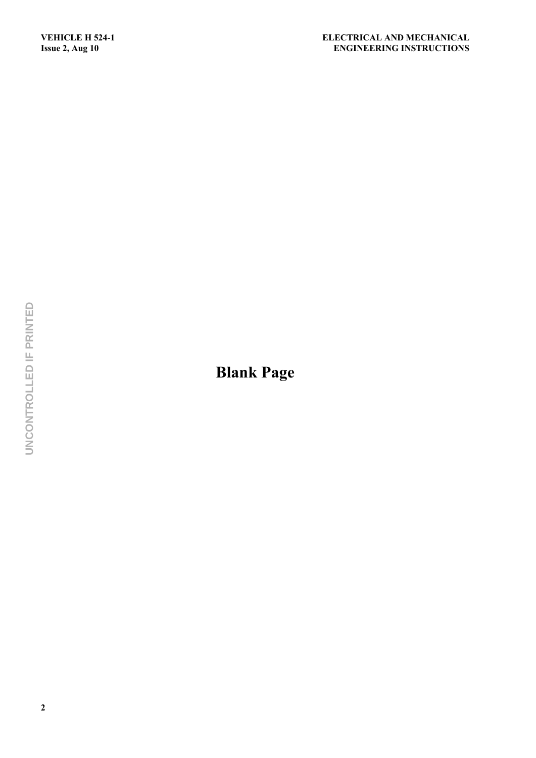# **Blank Page**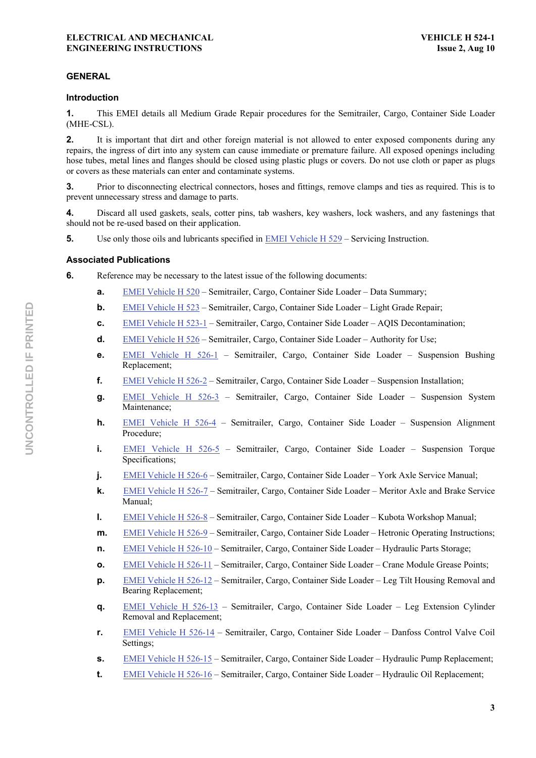# **GENERAL**

### **Introduction**

**1.** This EMEI details all Medium Grade Repair procedures for the Semitrailer, Cargo, Container Side Loader (MHE-CSL).

**2.** It is important that dirt and other foreign material is not allowed to enter exposed components during any repairs, the ingress of dirt into any system can cause immediate or premature failure. All exposed openings including hose tubes, metal lines and flanges should be closed using plastic plugs or covers. Do not use cloth or paper as plugs or covers as these materials can enter and contaminate systems.

**3.** Prior to disconnecting electrical connectors, hoses and fittings, remove clamps and ties as required. This is to prevent unnecessary stress and damage to parts.

**4.** Discard all used gaskets, seals, cotter pins, tab washers, key washers, lock washers, and any fastenings that should not be re-used based on their application.

**5.** Use only those oils and lubricants specified in **EMEI Vehicle H 529** – Servicing Instruction.

#### **Associated Publications**

- **6.** Reference may be necessary to the latest issue of the following documents:
	- **a.** EMEI Vehicle H 520 Semitrailer, Cargo, Container Side Loader Data Summary;
	- **b.** EMEI Vehicle H 523 Semitrailer, Cargo, Container Side Loader Light Grade Repair;
	- **c.** EMEI Vehicle H 523-1 Semitrailer, Cargo, Container Side Loader AOIS Decontamination;
	- **d.** EMEI Vehicle H 526 Semitrailer, Cargo, Container Side Loader Authority for Use;
	- **e.** EMEI Vehicle H 526-1 Semitrailer, Cargo, Container Side Loader Suspension Bushing Replacement;
	- **f.** EMEI Vehicle H 526-2 Semitrailer, Cargo, Container Side Loader Suspension Installation;
	- **g.** EMEI Vehicle H 526-3 Semitrailer, Cargo, Container Side Loader Suspension System Maintenance;
	- **h.** EMEI Vehicle H 526-4 Semitrailer, Cargo, Container Side Loader Suspension Alignment Procedure;
	- **i.** EMEI Vehicle H 526-5 Semitrailer, Cargo, Container Side Loader Suspension Torque Specifications;
	- **j.** EMEI Vehicle H 526-6 Semitrailer, Cargo, Container Side Loader York Axle Service Manual;
	- **k.** EMEI Vehicle H 526-7 Semitrailer, Cargo, Container Side Loader Meritor Axle and Brake Service Manual;
	- **l.** EMEI Vehicle H 526-8 Semitrailer, Cargo, Container Side Loader Kubota Workshop Manual;
	- **m.** EMEI Vehicle H 526-9 Semitrailer, Cargo, Container Side Loader Hetronic Operating Instructions;
	- **n.** EMEI Vehicle H 526-10 Semitrailer, Cargo, Container Side Loader Hydraulic Parts Storage;
	- **o. EMEI Vehicle H 526-11** Semitrailer, Cargo, Container Side Loader Crane Module Grease Points;
	- **p.** EMEI Vehicle H 526-12 Semitrailer, Cargo, Container Side Loader Leg Tilt Housing Removal and Bearing Replacement;
	- **q.** EMEI Vehicle H 526-13 Semitrailer, Cargo, Container Side Loader Leg Extension Cylinder Removal and Replacement;
	- **r.** EMEI Vehicle H 526-14 Semitrailer, Cargo, Container Side Loader Danfoss Control Valve Coil Settings;
	- **s.** EMEI Vehicle H 526-15 Semitrailer, Cargo, Container Side Loader Hydraulic Pump Replacement;
	- **t.** EMEI Vehicle H 526-16 Semitrailer, Cargo, Container Side Loader Hydraulic Oil Replacement;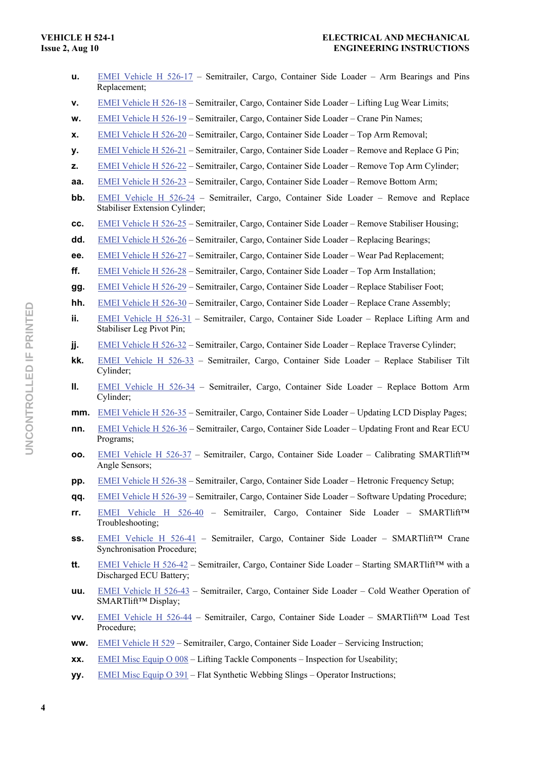#### **ELECTRICAL AND MECHANICAL ENGINEERING INSTRUCTIONS**

- **u.** EMEI Vehicle H 526-17 Semitrailer, Cargo, Container Side Loader Arm Bearings and Pins Replacement;
- **v.** EMEI Vehicle H 526-18 Semitrailer, Cargo, Container Side Loader Lifting Lug Wear Limits;
- **w.** EMEI Vehicle H 526-19 Semitrailer, Cargo, Container Side Loader Crane Pin Names:
- **x.** EMEI Vehicle H 526-20 Semitrailer, Cargo, Container Side Loader Top Arm Removal;
- **y.** EMEI Vehicle H 526-21 Semitrailer, Cargo, Container Side Loader Remove and Replace G Pin;
- **z.** EMEI Vehicle H 526-22 Semitrailer, Cargo, Container Side Loader Remove Top Arm Cylinder;
- **aa.** EMEI Vehicle H 526-23 Semitrailer, Cargo, Container Side Loader Remove Bottom Arm;
- **bb.** EMEI Vehicle H 526-24 Semitrailer, Cargo, Container Side Loader Remove and Replace Stabiliser Extension Cylinder;
- **cc.** EMEI Vehicle H 526-25 Semitrailer, Cargo, Container Side Loader Remove Stabiliser Housing;
- **dd.** EMEI Vehicle H 526-26 Semitrailer, Cargo, Container Side Loader Replacing Bearings;
- **ee.** EMEI Vehicle H 526-27 Semitrailer, Cargo, Container Side Loader Wear Pad Replacement;
- **ff.** EMEI Vehicle H 526-28 Semitrailer, Cargo, Container Side Loader Top Arm Installation;
- **gg.** EMEI Vehicle H 526-29 Semitrailer, Cargo, Container Side Loader Replace Stabiliser Foot;
- **hh.** EMEI Vehicle H 526-30 Semitrailer, Cargo, Container Side Loader Replace Crane Assembly;
- **ii.** EMEI Vehicle H 526-31 Semitrailer, Cargo, Container Side Loader Replace Lifting Arm and Stabiliser Leg Pivot Pin;
- **jj.** EMEI Vehicle H 526-32 Semitrailer, Cargo, Container Side Loader Replace Traverse Cylinder;
- kk. EMEI Vehicle H 526-33 Semitrailer, Cargo, Container Side Loader Replace Stabiliser Tilt Cylinder;
- **ll.** EMEI Vehicle H 526-34 Semitrailer, Cargo, Container Side Loader Replace Bottom Arm Cylinder;
- **mm.** EMEI Vehicle H 526-35 Semitrailer, Cargo, Container Side Loader Updating LCD Display Pages;
- **nn.** EMEI Vehicle H 526-36 Semitrailer, Cargo, Container Side Loader Updating Front and Rear ECU Programs;
- **oo.** EMEI Vehicle H 526-37 Semitrailer, Cargo, Container Side Loader Calibrating SMARTlift™ Angle Sensors;
- **pp.** EMEI Vehicle H 526-38 Semitrailer, Cargo, Container Side Loader Hetronic Frequency Setup;
- **qq.** EMEI Vehicle H 526-39 Semitrailer, Cargo, Container Side Loader Software Updating Procedure;
- **rr.** EMEI Vehicle H 526-40 Semitrailer, Cargo, Container Side Loader SMARTlift™ Troubleshooting;
- **ss.** HEMEI Vehicle H 526-41 Semitrailer, Cargo, Container Side Loader SMARTlift™ Crane Synchronisation Procedure;
- **tt.** EMEI Vehicle H 526-42 Semitrailer, Cargo, Container Side Loader Starting SMARTlift™ with a Discharged ECU Battery;
- **uu.** EMEI Vehicle H 526-43 Semitrailer, Cargo, Container Side Loader Cold Weather Operation of SMARTlift<sup>™</sup> Display;
- **vv.** HEMEI Vehicle H 526-44 Semitrailer, Cargo, Container Side Loader SMARTlift™ Load Test Procedure;
- **ww.** EMEI Vehicle H 529 Semitrailer, Cargo, Container Side Loader Servicing Instruction;
- **xx.** EMEI Misc Equip  $\Omega$  008 Lifting Tackle Components Inspection for Useability;
- **yy.** EMEI Misc Equip O 391 Flat Synthetic Webbing Slings Operator Instructions;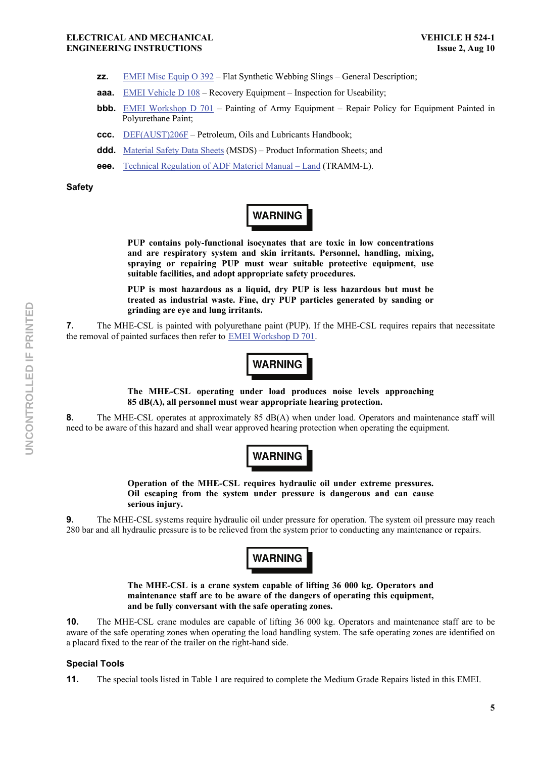- **zz.** EMEI Misc Equip O  $392$  Flat Synthetic Webbing Slings General Description;
- **aaa.** EMEI Vehicle D 108 Recovery Equipment Inspection for Useability;
- **bbb.** EMEI Workshop  $D$  701 Painting of Army Equipment Repair Policy for Equipment Painted in Polyurethane Paint;
- **ccc.** DEF(AUST)206F Petroleum, Oils and Lubricants Handbook;
- **ddd.** Material Safety Data Sheets (MSDS) Product Information Sheets; and
- **eee.** Technical Regulation of ADF Materiel Manual Land (TRAMM-L).

**Safety** 

# **WARNING**

**PUP contains poly-functional isocynates that are toxic in low concentrations and are respiratory system and skin irritants. Personnel, handling, mixing, spraying or repairing PUP must wear suitable protective equipment, use suitable facilities, and adopt appropriate safety procedures.** 

**PUP is most hazardous as a liquid, dry PUP is less hazardous but must be treated as industrial waste. Fine, dry PUP particles generated by sanding or grinding are eye and lung irritants.** 

**7.** The MHE-CSL is painted with polyurethane paint (PUP). If the MHE-CSL requires repairs that necessitate the removal of painted surfaces then refer to EMEI Workshop D 701.

# **WARNING**

**The MHE-CSL operating under load produces noise levels approaching 85 dB(A), all personnel must wear appropriate hearing protection.** 

**8.** The MHE-CSL operates at approximately 85 dB(A) when under load. Operators and maintenance staff will need to be aware of this hazard and shall wear approved hearing protection when operating the equipment.



**Operation of the MHE-CSL requires hydraulic oil under extreme pressures. Oil escaping from the system under pressure is dangerous and can cause serious injury.** 

**9.** The MHE-CSL systems require hydraulic oil under pressure for operation. The system oil pressure may reach 280 bar and all hydraulic pressure is to be relieved from the system prior to conducting any maintenance or repairs.



**The MHE-CSL is a crane system capable of lifting 36 000 kg. Operators and maintenance staff are to be aware of the dangers of operating this equipment, and be fully conversant with the safe operating zones.** 

**10.** The MHE-CSL crane modules are capable of lifting 36 000 kg. Operators and maintenance staff are to be aware of the safe operating zones when operating the load handling system. The safe operating zones are identified on a placard fixed to the rear of the trailer on the right-hand side.

#### **Special Tools**

**11.** The special tools listed in Table 1 are required to complete the Medium Grade Repairs listed in this EMEI.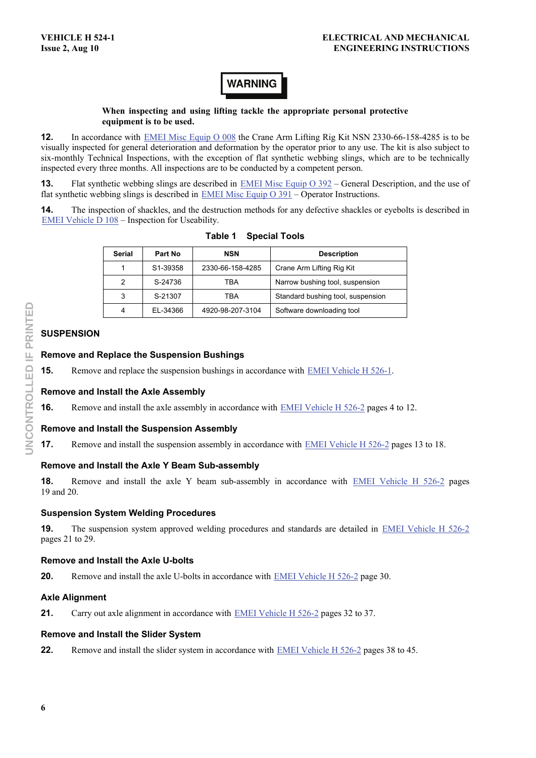# **WARNING**

**When inspecting and using lifting tackle the appropriate personal protective equipment is to be used.** 

**12.** In accordance with EMEI Misc Equip O 008 the Crane Arm Lifting Rig Kit NSN 2330-66-158-4285 is to be visually inspected for general deterioration and deformation by the operator prior to any use. The kit is also subject to six-monthly Technical Inspections, with the exception of flat synthetic webbing slings, which are to be technically inspected every three months. All inspections are to be conducted by a competent person.

**13.** Flat synthetic webbing slings are described in EMEI Misc Equip O 392 – General Description, and the use of flat synthetic webbing slings is described in EMEI Misc Equip O 391 – Operator Instructions.

**14.** The inspection of shackles, and the destruction methods for any defective shackles or eyebolts is described in EMEI Vehicle  $D$  108 – Inspection for Useability.

| Serial        | Part No               | <b>NSN</b>       | <b>Description</b>                |
|---------------|-----------------------|------------------|-----------------------------------|
|               | S <sub>1</sub> -39358 | 2330-66-158-4285 | Crane Arm Lifting Rig Kit         |
| $\mathcal{P}$ | S-24736               | TBA              | Narrow bushing tool, suspension   |
| 3             | S-21307               | TBA              | Standard bushing tool, suspension |
| 4             | EL-34366              | 4920-98-207-3104 | Software downloading tool         |

# **Table 1 Special Tools**

# **SUSPENSION**

# **Remove and Replace the Suspension Bushings**

**15.** Remove and replace the suspension bushings in accordance with EMEI Vehicle H 526-1.

# **Remove and Install the Axle Assembly**

**16.** Remove and install the axle assembly in accordance with EMEI Vehicle H 526-2 pages 4 to 12.

# **Remove and Install the Suspension Assembly**

**17.** Remove and install the suspension assembly in accordance with EMEI Vehicle H 526-2 pages 13 to 18.

# **Remove and Install the Axle Y Beam Sub-assembly**

**18.** Remove and install the axle Y beam sub-assembly in accordance with EMEI Vehicle H 526-2 pages 19 and 20.

#### **Suspension System Welding Procedures**

**19.** The suspension system approved welding procedures and standards are detailed in EMEI Vehicle H 526-2 pages 21 to 29.

#### **Remove and Install the Axle U-bolts**

**20.** Remove and install the axle U-bolts in accordance with EMEI Vehicle H 526-2 page 30.

#### **Axle Alignment**

**21.** Carry out axle alignment in accordance with EMEI Vehicle H 526-2 pages 32 to 37.

#### **Remove and Install the Slider System**

**22.** Remove and install the slider system in accordance with EMEI Vehicle H 526-2 pages 38 to 45.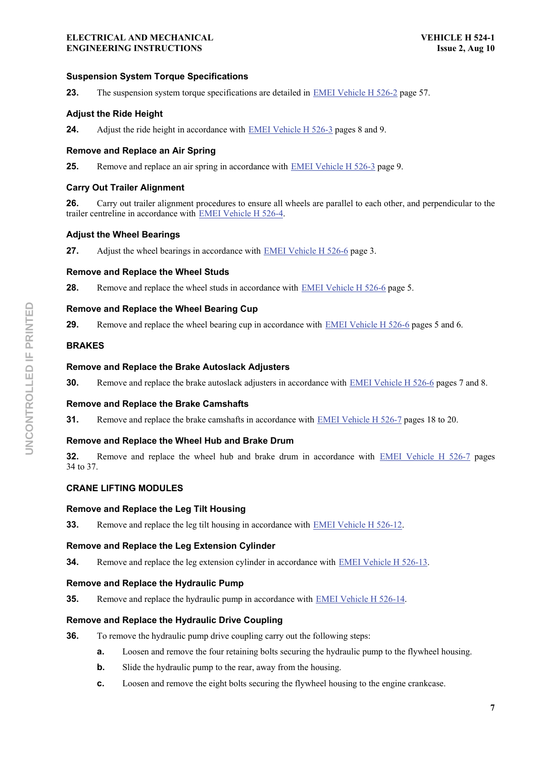#### **ELECTRICAL AND MECHANICAL ENGINEERING INSTRUCTIONS**

#### **Suspension System Torque Specifications**

**23.** The suspension system torque specifications are detailed in **EMEI Vehicle H 526-2** page 57.

#### **Adjust the Ride Height**

**24.** Adjust the ride height in accordance with EMEI Vehicle H 526-3 pages 8 and 9.

#### **Remove and Replace an Air Spring**

**25.** Remove and replace an air spring in accordance with EMEI Vehicle H 526-3 page 9.

#### **Carry Out Trailer Alignment**

**26.** Carry out trailer alignment procedures to ensure all wheels are parallel to each other, and perpendicular to the trailer centreline in accordance with EMEI Vehicle H 526-4.

#### **Adjust the Wheel Bearings**

**27.** Adjust the wheel bearings in accordance with EMEI Vehicle H 526-6 page 3.

#### **Remove and Replace the Wheel Studs**

**28.** Remove and replace the wheel studs in accordance with EMEI Vehicle H 526-6 page 5.

#### **Remove and Replace the Wheel Bearing Cup**

**29.** Remove and replace the wheel bearing cup in accordance with EMEI Vehicle H 526-6 pages 5 and 6.

#### **BRAKES**

#### **Remove and Replace the Brake Autoslack Adjusters**

**30.** Remove and replace the brake autoslack adjusters in accordance with EMEI Vehicle H 526-6 pages 7 and 8.

#### **Remove and Replace the Brake Camshafts**

**31.** Remove and replace the brake camshafts in accordance with EMEI Vehicle H 526-7 pages 18 to 20.

#### **Remove and Replace the Wheel Hub and Brake Drum**

**32.** Remove and replace the wheel hub and brake drum in accordance with EMEI Vehicle H 526-7 pages 34 to 37.

# **CRANE LIFTING MODULES**

#### **Remove and Replace the Leg Tilt Housing**

**33.** Remove and replace the leg tilt housing in accordance with EMEI Vehicle H 526-12.

# **Remove and Replace the Leg Extension Cylinder**

**34.** Remove and replace the leg extension cylinder in accordance with EMEI Vehicle H 526-13.

#### **Remove and Replace the Hydraulic Pump**

**35.** Remove and replace the hydraulic pump in accordance with EMEI Vehicle H 526-14.

#### **Remove and Replace the Hydraulic Drive Coupling**

- **36.** To remove the hydraulic pump drive coupling carry out the following steps:
	- **a.** Loosen and remove the four retaining bolts securing the hydraulic pump to the flywheel housing.
	- **b.** Slide the hydraulic pump to the rear, away from the housing.
	- **c.** Loosen and remove the eight bolts securing the flywheel housing to the engine crankcase.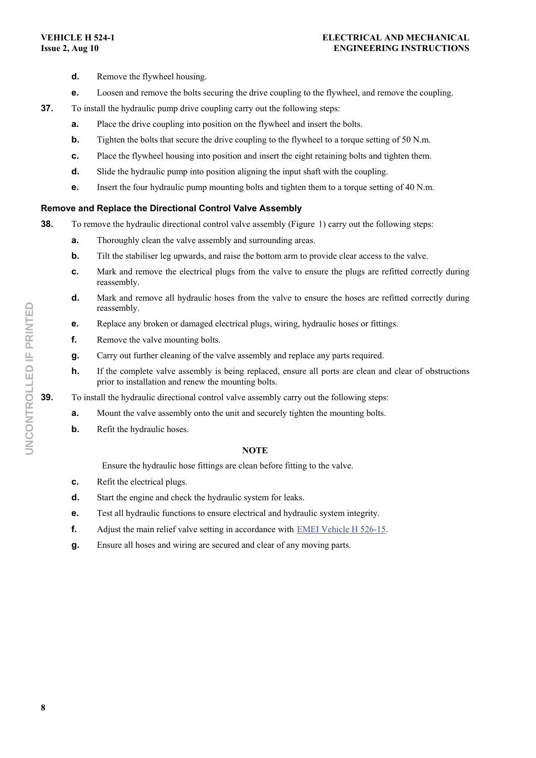- **d.** Remove the flywheel housing.
- **e.** Loosen and remove the bolts securing the drive coupling to the flywheel, and remove the coupling.
- **37.** To install the hydraulic pump drive coupling carry out the following steps:
	- **a.** Place the drive coupling into position on the flywheel and insert the bolts.
	- **b. Tighten the bolts that secure the drive coupling to the flywheel to a torque setting of 50 N.m.**
	- **c.** Place the flywheel housing into position and insert the eight retaining bolts and tighten them.
	- **d.** Slide the hydraulic pump into position aligning the input shaft with the coupling.
	- **e.** Insert the four hydraulic pump mounting bolts and tighten them to a torque setting of 40 N.m.

#### **Remove and Replace the Directional Control Valve Assembly**

- **38.** To remove the hydraulic directional control valve assembly (Figure 1) carry out the following steps:
	- **a.** Thoroughly clean the valve assembly and surrounding areas.
	- **b.** Tilt the stabiliser leg upwards, and raise the bottom arm to provide clear access to the valve.
	- **c.** Mark and remove the electrical plugs from the valve to ensure the plugs are refitted correctly during reassembly.
	- **d.** Mark and remove all hydraulic hoses from the valve to ensure the hoses are refitted correctly during reassembly.
	- **e.** Replace any broken or damaged electrical plugs, wiring, hydraulic hoses or fittings.
	- **f.** Remove the valve mounting bolts.
	- **g.** Carry out further cleaning of the valve assembly and replace any parts required.
	- **h.** If the complete valve assembly is being replaced, ensure all ports are clean and clear of obstructions prior to installation and renew the mounting bolts.

**39.** To install the hydraulic directional control valve assembly carry out the following steps:

- **a.** Mount the valve assembly onto the unit and securely tighten the mounting bolts.
- **b.** Refit the hydraulic hoses.

#### **NOTE**

Ensure the hydraulic hose fittings are clean before fitting to the valve.

- **c.** Refit the electrical plugs.
- **d.** Start the engine and check the hydraulic system for leaks.
- **e.** Test all hydraulic functions to ensure electrical and hydraulic system integrity.
- **f.** Adjust the main relief valve setting in accordance with EMEI Vehicle H 526-15.
- **g.** Ensure all hoses and wiring are secured and clear of any moving parts.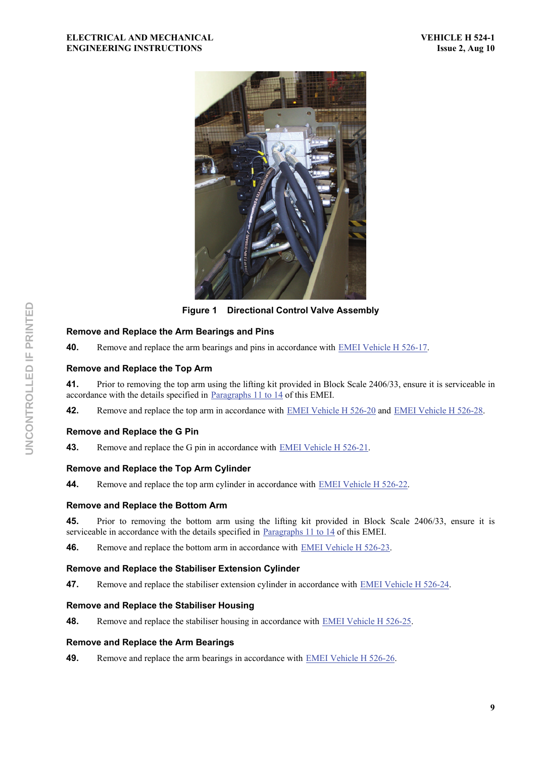

**Figure 1 Directional Control Valve Assembly** 

# **Remove and Replace the Arm Bearings and Pins**

**40.** Remove and replace the arm bearings and pins in accordance with EMEI Vehicle H 526-17.

# **Remove and Replace the Top Arm**

**41.** Prior to removing the top arm using the lifting kit provided in Block Scale 2406/33, ensure it is serviceable in accordance with the details specified in Paragraphs  $11$  to  $14$  of this EMEI.

**42.** Remove and replace the top arm in accordance with EMEI Vehicle H 526-20 and EMEI Vehicle H 526-28.

# **Remove and Replace the G Pin**

**43.** Remove and replace the G pin in accordance with EMEI Vehicle H 526-21.

# **Remove and Replace the Top Arm Cylinder**

**44.** Remove and replace the top arm cylinder in accordance with EMEI Vehicle H 526-22.

#### **Remove and Replace the Bottom Arm**

**45.** Prior to removing the bottom arm using the lifting kit provided in Block Scale 2406/33, ensure it is serviceable in accordance with the details specified in Paragraphs 11 to 14 of this EMEI.

**46.** Remove and replace the bottom arm in accordance with EMEI Vehicle H 526-23.

#### **Remove and Replace the Stabiliser Extension Cylinder**

**47.** Remove and replace the stabiliser extension cylinder in accordance with EMEI Vehicle H 526-24.

# **Remove and Replace the Stabiliser Housing**

**48.** Remove and replace the stabiliser housing in accordance with EMEI Vehicle H 526-25.

#### **Remove and Replace the Arm Bearings**

**49.** Remove and replace the arm bearings in accordance with **EMEI** Vehicle H 526-26.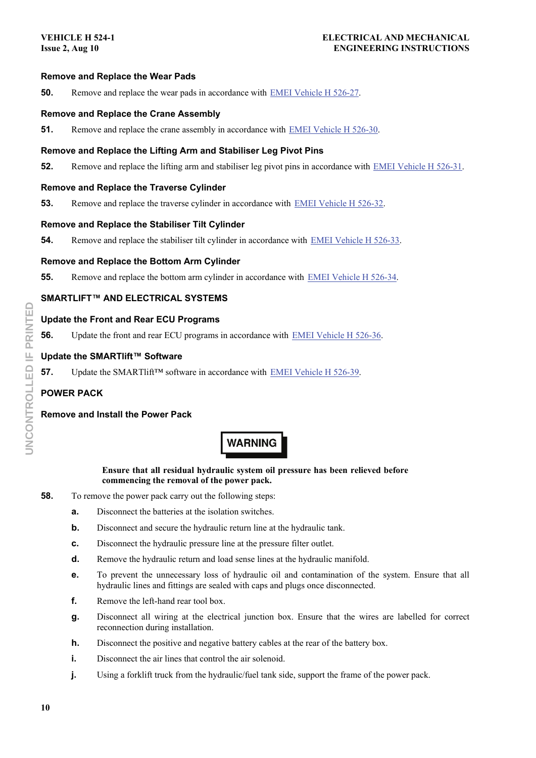#### **Remove and Replace the Wear Pads**

**50.** Remove and replace the wear pads in accordance with **EMEI Vehicle H 526-27**.

#### **Remove and Replace the Crane Assembly**

**51.** Remove and replace the crane assembly in accordance with EMEI Vehicle H 526-30.

#### **Remove and Replace the Lifting Arm and Stabiliser Leg Pivot Pins**

**52.** Remove and replace the lifting arm and stabiliser leg pivot pins in accordance with EMEI Vehicle H 526-31.

#### **Remove and Replace the Traverse Cylinder**

**53.** Remove and replace the traverse cylinder in accordance with EMEI Vehicle H 526-32.

#### **Remove and Replace the Stabiliser Tilt Cylinder**

**54.** Remove and replace the stabiliser tilt cylinder in accordance with **EMEI Vehicle H 526-33**.

#### **Remove and Replace the Bottom Arm Cylinder**

**55.** Remove and replace the bottom arm cylinder in accordance with EMEI Vehicle H 526-34.

# **SMARTLIFT™ AND ELECTRICAL SYSTEMS**

# **Update the Front and Rear ECU Programs**

**56.** Update the front and rear ECU programs in accordance with EMEI Vehicle H 526-36.

#### **Update the SMARTlift™ Software**

**57.** Update the SMARTlift™ software in accordance with EMEI Vehicle H 526-39.

# **POWER PACK**

# **Remove and Install the Power Pack**

# **WARNING**

**Ensure that all residual hydraulic system oil pressure has been relieved before commencing the removal of the power pack.** 

- **58.** To remove the power pack carry out the following steps:
	- **a.** Disconnect the batteries at the isolation switches.
	- **b.** Disconnect and secure the hydraulic return line at the hydraulic tank.
	- **c.** Disconnect the hydraulic pressure line at the pressure filter outlet.
	- **d.** Remove the hydraulic return and load sense lines at the hydraulic manifold.
	- **e.** To prevent the unnecessary loss of hydraulic oil and contamination of the system. Ensure that all hydraulic lines and fittings are sealed with caps and plugs once disconnected.
	- **f.** Remove the left-hand rear tool box.
	- **g.** Disconnect all wiring at the electrical junction box. Ensure that the wires are labelled for correct reconnection during installation.
	- **h.** Disconnect the positive and negative battery cables at the rear of the battery box.
	- **i.** Disconnect the air lines that control the air solenoid.
	- **j.** Using a forklift truck from the hydraulic/fuel tank side, support the frame of the power pack.